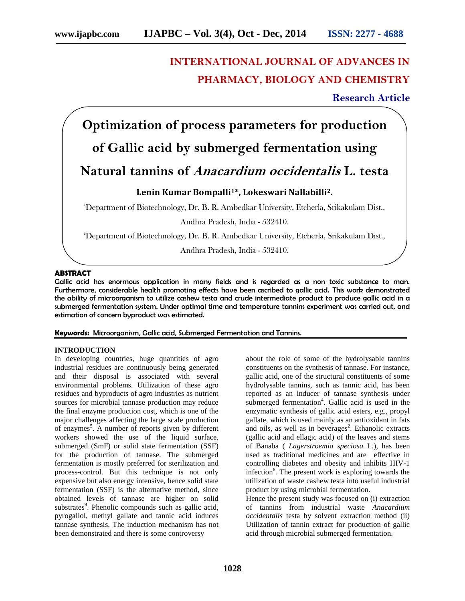# **INTERNATIONAL JOURNAL OF ADVANCES IN PHARMACY, BIOLOGY AND CHEMISTRY**

## **Research Article**

**Optimization of process parameters for production of Gallic acid by submerged fermentation using**

# **Natural tannins of** *Anacardium occidentalis* **L. testa**

## **Lenin Kumar Bompalli1\*, Lokeswari Nallabilli2.**

<sup>1</sup>Department of Biotechnology, Dr. B. R. Ambedkar University, Etcherla, Srikakulam Dist.,

Andhra Pradesh, India - 532410.

<sup>2</sup>Department of Biotechnology, Dr. B. R. Ambedkar University, Etcherla, Srikakulam Dist.,

Andhra Pradesh, India - 532410.

#### **ABSTRACT**

Gallic acid has enormous application in many fields and is regarded as a non toxic substance to man. Furthermore, considerable health promoting effects have been ascribed to gallic acid. This work demonstrated the ability of microorganism to utilize cashew testa and crude intermediate product to produce gallic acid in a submerged fermentation system. Under optimal time and temperature tannins experiment was carried out, and estimation of concern byproduct was estimated.

#### **Keywords:** Microorganism, Gallic acid, Submerged Fermentation and Tannins.

#### **INTRODUCTION**

In developing countries, huge quantities of agro industrial residues are continuously being generated and their disposal is associated with several environmental problems. Utilization of these agro residues and byproducts of agro industries as nutrient sources for microbial tannase production may reduce the final enzyme production cost, which is one of the major challenges affecting the large scale production of enzymes<sup>5</sup>. A number of reports given by different workers showed the use of the liquid surface, submerged (SmF) or solid state fermentation (SSF) for the production of tannase. The submerged fermentation is mostly preferred for sterilization and process-control. But this technique is not only expensive but also energy intensive, hence solid state fermentation (SSF) is the alternative method, since obtained levels of tannase are higher on solid substrates<sup>9</sup>. Phenolic compounds such as gallic acid, pyrogallol, methyl gallate and tannic acid induces tannase synthesis. The induction mechanism has not been demonstrated and there is some controversy

about the role of some of the hydrolysable tannins constituents on the synthesis of tannase. For instance, gallic acid, one of the structural constituents of some hydrolysable tannins, such as tannic acid, has been reported as an inducer of tannase synthesis under submerged fermentation<sup>4</sup>. Gallic acid is used in the enzymatic synthesis of gallic acid esters, e.g., propyl gallate, which is used mainly as an antioxidant in fats and oils, as well as in beverages<sup>2</sup>. Ethanolic extracts (gallic acid and ellagic acid) of the leaves and stems of Banaba ( *Lagerstroemia speciosa* L.), has been used as traditional medicines and are effective in controlling diabetes and obesity and inhibits HIV-1 infection<sup>6</sup>. The present work is exploring towards the utilization of waste cashew testa into useful industrial product by using microbial fermentation.

Hence the present study was focused on (i) extraction of tannins from industrial waste *Anacardium occidentalis* testa by solvent extraction method (ii) Utilization of tannin extract for production of gallic acid through microbial submerged fermentation.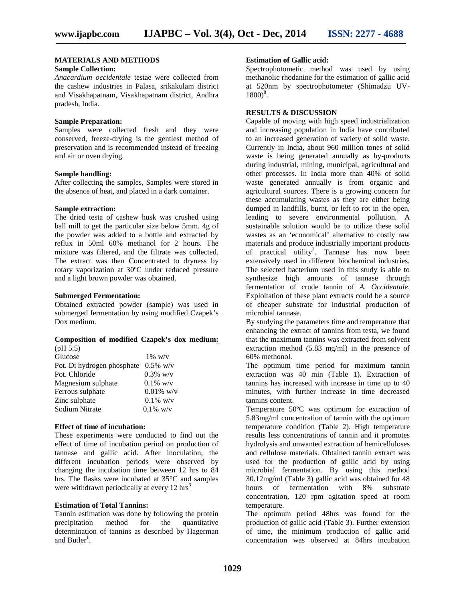#### **MATERIALS AND METHODS Sample Collection:**

#### *Anacardium occidentale* testae were collected from the cashew industries in Palasa, srikakulam district and Visakhapatnam, Visakhapatnam district, Andhra pradesh, India.

#### **Sample Preparation:**

Samples were collected fresh and they were conserved, freeze-drying is the gentlest method of preservation and is recommended instead of freezing and air or oven drying.

#### **Sample handling:**

After collecting the samples, Samples were stored in the absence of heat, and placed in a dark container.

#### **Sample extraction:**

The dried testa of cashew husk was crushed using ball mill to get the particular size below 5mm. 4g of the powder was added to a bottle and extracted by reflux in 50ml 60% methanol for 2 hours. The mixture was filtered, and the filtrate was collected. The extract was then Concentrated to dryness by rotary vaporization at 30ºC under reduced pressure and a light brown powder was obtained.

#### **Submerged Fermentation:**

Obtained extracted powder (sample) was used in submerged fermentation by using modified Czapek's Dox medium.

#### **Composition of modified Czapek's dox medium:** (pH 5.5)

| Glucose                                | $1\%~{\rm w/v}$ |
|----------------------------------------|-----------------|
| Pot. Di hydrogen phosphate $0.5\%$ w/v |                 |
| Pot. Chloride                          | $0.3\%$ w/v     |
| Magnesium sulphate                     | $0.1\%$ w/v     |
| Ferrous sulphate                       | $0.01\%$ w/v    |
| Zinc sulphate                          | $0.1\%$ w/v     |
| Sodium Nitrate                         | $0.1\%$ w/v     |
|                                        |                 |

#### **Effect of time of incubation:**

These experiments were conducted to find out the effect of time of incubation period on production of tannase and gallic acid. After inoculation, the different incubation periods were observed by changing the incubation time between 12 hrs to 84 hrs. The flasks were incubated at 35°C and samples were withdrawn periodically at every  $12 \text{ hrs}^3$ .

#### **Estimation of Total Tannins:**

Tannin estimation was done by following the protein precipitation method for the quantitative determination of tannins as described by Hagerman and  $Butler<sup>1</sup>$ .

#### **Estimation of Gallic acid:**

Spectrophotometic method was used by using methanolic rhodanine for the estimation of gallic acid at 520nm by spectrophotometer (Shimadzu UV-  $1800)^8$ .

### **RESULTS & DISCUSSION**

Capable of moving with high speed industrialization and increasing population in India have contributed to an increased generation of variety of solid waste. Currently in India, about 960 million tones of solid waste is being generated annually as by-products during industrial, mining, municipal, agricultural and other processes. In India more than 40% of solid waste generated annually is from organic and agricultural sources. There is a growing concern for these accumulating wastes as they are either being dumped in landfills, burnt, or left to rot in the open, leading to severe environmental pollution. A sustainable solution would be to utilize these solid wastes as an 'economical' alternative to costly raw materials and produce industrially important products of practical utility<sup>7</sup>. Tannase has now been extensively used in different biochemical industries. The selected bacterium used in this study is able to synthesize high amounts of tannase through fermentation of crude tannin of *A. Occidentale*. Exploitation of these plant extracts could be a source of cheaper substrate for industrial production of microbial tannase.

By studying the parameters time and temperature that enhancing the extract of tannins from testa, we found that the maximum tannins was extracted from solvent extraction method (5.83 mg/ml) in the presence of 60% methonol.

The optimum time period for maximum tannin extraction was 40 min (Table 1). Extraction of tannins has increased with increase in time up to 40 minutes, with further increase in time decreased tannins content.

Temperature 50ºC was optimum for extraction of 5.83mg/ml concentration of tannin with the optimum temperature condition (Table 2). High temperature results less concentrations of tannin and it promotes hydrolysis and unwanted extraction of hemicelluloses and cellulose materials. Obtained tannin extract was used for the production of gallic acid by using microbial fermentation. By using this method  $30.12 \text{mg/ml}$  (Table 3) gallic acid was obtained for 48 hours of fermentation with  $8\%$  substrate hours of fermentation with 8% concentration, 120 rpm agitation speed at room temperature.

The optimum period 48hrs was found for the production of gallic acid (Table 3). Further extension of time, the minimum production of gallic acid concentration was observed at 84hrs incubation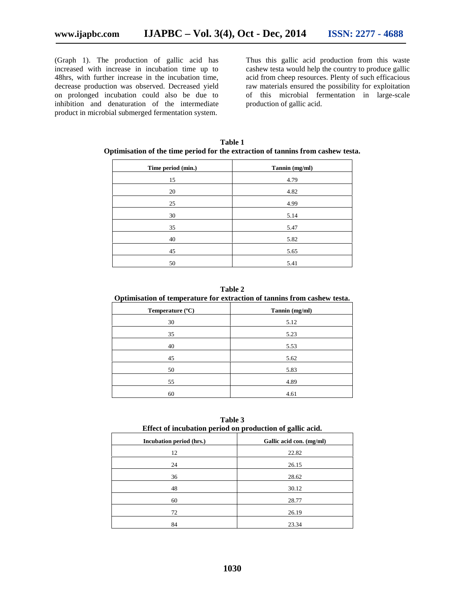(Graph 1). The production of gallic acid has increased with increase in incubation time up to 48hrs, with further increase in the incubation time, decrease production was observed. Decreased yield on prolonged incubation could also be due to inhibition and denaturation of the intermediate product in microbial submerged fermentation system.

Thus this gallic acid production from this waste cashew testa would help the country to produce gallic acid from cheep resources. Plenty of such efficacious raw materials ensured the possibility for exploitation of this microbial fermentation in large-scale production of gallic acid.

| Time period (min.) | Tannin (mg/ml) |
|--------------------|----------------|
| 15                 | 4.79           |
| 20                 | 4.82           |
| 25                 | 4.99           |
| 30                 | 5.14           |
| 35                 | 5.47           |
| 40                 | 5.82           |
| 45                 | 5.65           |
| 50                 | 5.41           |

**Table 1 Optimisation of the time period for the extraction of tannins from cashew testa.**

**Table 2**

| Optimisation of temperature for extraction of tannins from cashew testa. |                |  |
|--------------------------------------------------------------------------|----------------|--|
| Temperature $(^{\circ}C)$                                                | Tannin (mg/ml) |  |
| 30                                                                       | 5.12           |  |
| 35                                                                       | 5.23           |  |
| 40                                                                       | 5.53           |  |
| 45                                                                       | 5.62           |  |
| 50                                                                       | 5.83           |  |
| 55                                                                       | 4.89           |  |

**Table 3 Effect of incubation period on production of gallic acid.**

60 4.61

| ີ                        |
|--------------------------|
| Gallic acid con. (mg/ml) |
| 22.82                    |
| 26.15                    |
| 28.62                    |
| 30.12                    |
| 28.77                    |
| 26.19                    |
| 23.34                    |
|                          |